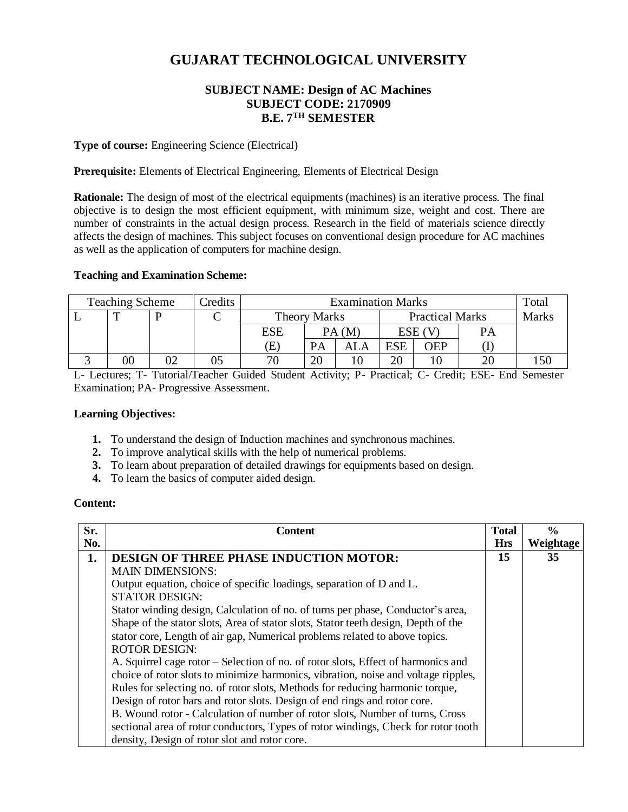# **GUJARAT TECHNOLOGICAL UNIVERSITY**

## **SUBJECT NAME: Design of AC Machines SUBJECT CODE: 2170909 B.E. 7 TH SEMESTER**

#### **Type of course:** Engineering Science (Electrical)

**Prerequisite:** Elements of Electrical Engineering, Elements of Electrical Design

**Rationale:** The design of most of the electrical equipments (machines) is an iterative process. The final objective is to design the most efficient equipment, with minimum size, weight and cost. There are number of constraints in the actual design process. Research in the field of materials science directly affects the design of machines. This subject focuses on conventional design procedure for AC machines as well as the application of computers for machine design.

#### **Teaching and Examination Scheme:**

| <b>Teaching Scheme</b> |    |  | Credits | <b>Examination Marks</b> |                     |     |                        | Total |    |              |
|------------------------|----|--|---------|--------------------------|---------------------|-----|------------------------|-------|----|--------------|
|                        |    |  |         |                          | <b>Theory Marks</b> |     | <b>Practical Marks</b> |       |    | <b>Marks</b> |
|                        |    |  |         | ESE                      | PA(M)               |     | $ESE$ (V.              |       | PА |              |
|                        |    |  |         | Œ)                       | <b>PA</b>           | ALA | <b>ESE</b>             | OEP   |    |              |
|                        | 00 |  | ບວ      | 70                       | 20                  |     | 20                     |       |    |              |

L- Lectures; T- Tutorial/Teacher Guided Student Activity; P- Practical; C- Credit; ESE- End Semester Examination; PA- Progressive Assessment.

#### **Learning Objectives:**

- **1.** To understand the design of Induction machines and synchronous machines.
- **2.** To improve analytical skills with the help of numerical problems.
- **3.** To learn about preparation of detailed drawings for equipments based on design.
- **4.** To learn the basics of computer aided design.

#### **Content:**

| Sr. | Content                                                                            | <b>Total</b> | $\frac{6}{9}$ |
|-----|------------------------------------------------------------------------------------|--------------|---------------|
| No. |                                                                                    | <b>Hrs</b>   | Weightage     |
| 1.  | <b>DESIGN OF THREE PHASE INDUCTION MOTOR:</b>                                      | 15           | 35            |
|     | <b>MAIN DIMENSIONS:</b>                                                            |              |               |
|     | Output equation, choice of specific loadings, separation of D and L.               |              |               |
|     | <b>STATOR DESIGN:</b>                                                              |              |               |
|     | Stator winding design, Calculation of no. of turns per phase, Conductor's area,    |              |               |
|     | Shape of the stator slots, Area of stator slots, Stator teeth design, Depth of the |              |               |
|     | stator core, Length of air gap, Numerical problems related to above topics.        |              |               |
|     | <b>ROTOR DESIGN:</b>                                                               |              |               |
|     | A. Squirrel cage rotor – Selection of no. of rotor slots, Effect of harmonics and  |              |               |
|     | choice of rotor slots to minimize harmonics, vibration, noise and voltage ripples, |              |               |
|     | Rules for selecting no. of rotor slots, Methods for reducing harmonic torque,      |              |               |
|     | Design of rotor bars and rotor slots. Design of end rings and rotor core.          |              |               |
|     | B. Wound rotor - Calculation of number of rotor slots, Number of turns, Cross      |              |               |
|     | sectional area of rotor conductors, Types of rotor windings, Check for rotor tooth |              |               |
|     | density, Design of rotor slot and rotor core.                                      |              |               |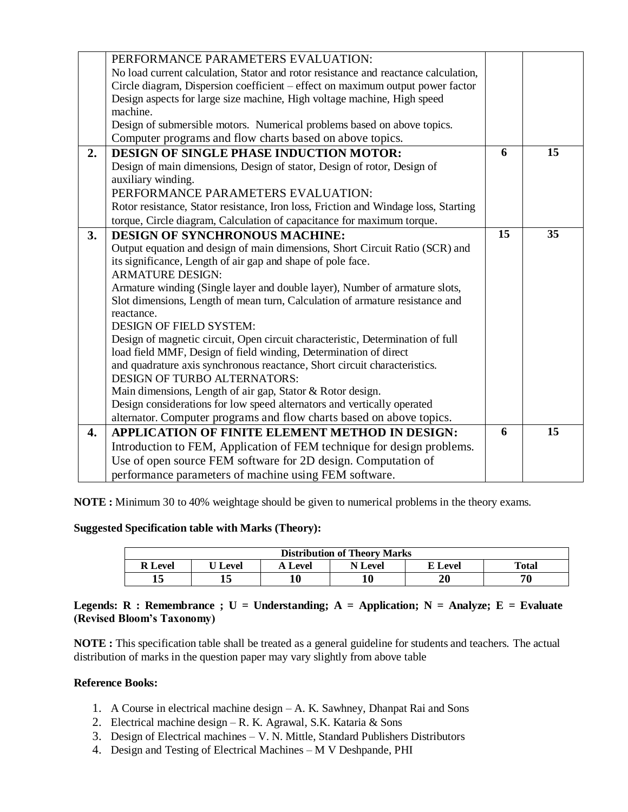|    | PERFORMANCE PARAMETERS EVALUATION:                                                  |    |    |
|----|-------------------------------------------------------------------------------------|----|----|
|    | No load current calculation, Stator and rotor resistance and reactance calculation, |    |    |
|    | Circle diagram, Dispersion coefficient – effect on maximum output power factor      |    |    |
|    | Design aspects for large size machine, High voltage machine, High speed             |    |    |
|    | machine.                                                                            |    |    |
|    | Design of submersible motors. Numerical problems based on above topics.             |    |    |
|    | Computer programs and flow charts based on above topics.                            |    |    |
| 2. | <b>DESIGN OF SINGLE PHASE INDUCTION MOTOR:</b>                                      | 6  | 15 |
|    | Design of main dimensions, Design of stator, Design of rotor, Design of             |    |    |
|    | auxiliary winding.                                                                  |    |    |
|    | PERFORMANCE PARAMETERS EVALUATION:                                                  |    |    |
|    | Rotor resistance, Stator resistance, Iron loss, Friction and Windage loss, Starting |    |    |
|    | torque, Circle diagram, Calculation of capacitance for maximum torque.              |    |    |
| 3. | <b>DESIGN OF SYNCHRONOUS MACHINE:</b>                                               | 15 | 35 |
|    | Output equation and design of main dimensions, Short Circuit Ratio (SCR) and        |    |    |
|    | its significance, Length of air gap and shape of pole face.                         |    |    |
|    | <b>ARMATURE DESIGN:</b>                                                             |    |    |
|    | Armature winding (Single layer and double layer), Number of armature slots,         |    |    |
|    | Slot dimensions, Length of mean turn, Calculation of armature resistance and        |    |    |
|    | reactance.                                                                          |    |    |
|    | <b>DESIGN OF FIELD SYSTEM:</b>                                                      |    |    |
|    | Design of magnetic circuit, Open circuit characteristic, Determination of full      |    |    |
|    | load field MMF, Design of field winding, Determination of direct                    |    |    |
|    | and quadrature axis synchronous reactance, Short circuit characteristics.           |    |    |
|    | <b>DESIGN OF TURBO ALTERNATORS:</b>                                                 |    |    |
|    | Main dimensions, Length of air gap, Stator & Rotor design.                          |    |    |
|    | Design considerations for low speed alternators and vertically operated             |    |    |
|    | alternator. Computer programs and flow charts based on above topics.                |    |    |
| 4. | APPLICATION OF FINITE ELEMENT METHOD IN DESIGN:                                     | 6  | 15 |
|    | Introduction to FEM, Application of FEM technique for design problems.              |    |    |
|    | Use of open source FEM software for 2D design. Computation of                       |    |    |
|    | performance parameters of machine using FEM software.                               |    |    |

**NOTE :** Minimum 30 to 40% weightage should be given to numerical problems in the theory exams.

#### **Suggested Specification table with Marks (Theory):**

| <b>Distribution of Theory Marks</b> |                |         |         |         |       |  |  |  |
|-------------------------------------|----------------|---------|---------|---------|-------|--|--|--|
| <b>R</b> Level                      | U <b>Level</b> | A Level | N Level | E Level | Total |  |  |  |
|                                     |                | 10      |         | 20      | 70    |  |  |  |

### Legends: R : Remembrance ;  $U =$  Understanding;  $A =$  Application;  $N =$  Analyze;  $E =$  Evaluate **(Revised Bloom's Taxonomy)**

**NOTE :** This specification table shall be treated as a general guideline for students and teachers. The actual distribution of marks in the question paper may vary slightly from above table

#### **Reference Books:**

- 1. A Course in electrical machine design A. K. Sawhney, Dhanpat Rai and Sons
- 2. Electrical machine design R. K. Agrawal, S.K. Kataria & Sons
- 3. Design of Electrical machines V. N. Mittle, Standard Publishers Distributors
- 4. Design and Testing of Electrical Machines M V Deshpande, PHI